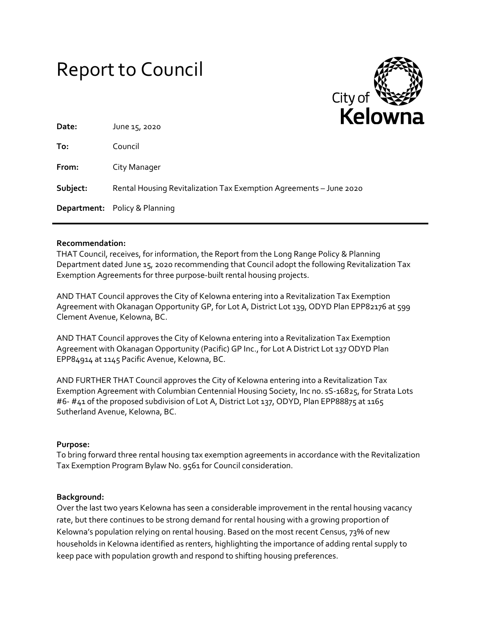# Report to Council



| Date:<br>June 15, 2020                                                         |  |
|--------------------------------------------------------------------------------|--|
| To:<br>Council                                                                 |  |
| From:<br>City Manager                                                          |  |
| Subject:<br>Rental Housing Revitalization Tax Exemption Agreements - June 2020 |  |
| <b>Department:</b> Policy & Planning                                           |  |

#### **Recommendation:**

THAT Council, receives, for information, the Report from the Long Range Policy & Planning Department dated June 15, 2020 recommending that Council adopt the following Revitalization Tax Exemption Agreements for three purpose-built rental housing projects.

AND THAT Council approves the City of Kelowna entering into a Revitalization Tax Exemption Agreement with Okanagan Opportunity GP, for Lot A, District Lot 139, ODYD Plan EPP82176 at 599 Clement Avenue, Kelowna, BC.

AND THAT Council approves the City of Kelowna entering into a Revitalization Tax Exemption Agreement with Okanagan Opportunity (Pacific) GP Inc., for Lot A District Lot 137 ODYD Plan EPP84914 at 1145 Pacific Avenue, Kelowna, BC.

AND FURTHER THAT Council approves the City of Kelowna entering into a Revitalization Tax Exemption Agreement with Columbian Centennial Housing Society, Inc no. sS-16825, for Strata Lots #6- #41 of the proposed subdivision of Lot A, District Lot 137, ODYD, Plan EPP88875 at 1165 Sutherland Avenue, Kelowna, BC.

## **Purpose:**

To bring forward three rental housing tax exemption agreements in accordance with the Revitalization Tax Exemption Program Bylaw No. 9561 for Council consideration.

#### **Background:**

Over the last two years Kelowna has seen a considerable improvement in the rental housing vacancy rate, but there continues to be strong demand for rental housing with a growing proportion of Kelowna's population relying on rental housing. Based on the most recent Census, 73% of new households in Kelowna identified as renters, highlighting the importance of adding rental supply to keep pace with population growth and respond to shifting housing preferences.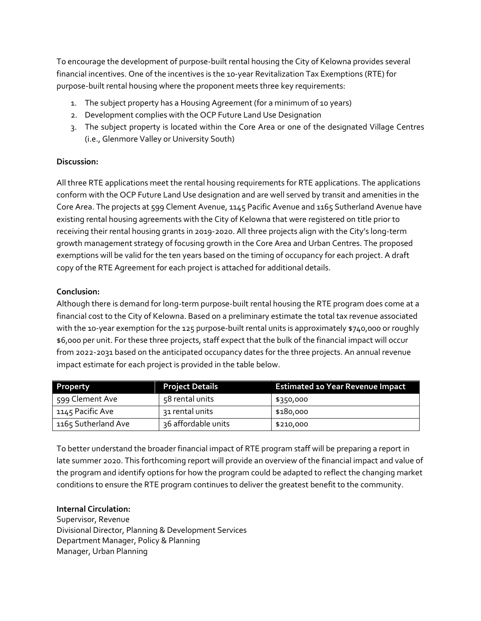To encourage the development of purpose-built rental housing the City of Kelowna provides several financial incentives. One of the incentives is the 10-year Revitalization Tax Exemptions (RTE) for purpose-built rental housing where the proponent meets three key requirements:

- 1. The subject property has a Housing Agreement (for a minimum of 10 years)
- 2. Development complies with the OCP Future Land Use Designation
- 3. The subject property is located within the Core Area or one of the designated Village Centres (i.e., Glenmore Valley or University South)

## **Discussion:**

All three RTE applications meet the rental housing requirements for RTE applications. The applications conform with the OCP Future Land Use designation and are well served by transit and amenities in the Core Area. The projects at 599 Clement Avenue, 1145 Pacific Avenue and 1165 Sutherland Avenue have existing rental housing agreements with the City of Kelowna that were registered on title prior to receiving their rental housing grants in 2019-2020. All three projects align with the City's long-term growth management strategy of focusing growth in the Core Area and Urban Centres. The proposed exemptions will be valid for the ten years based on the timing of occupancy for each project. A draft copy of the RTE Agreement for each project is attached for additional details.

## **Conclusion:**

Although there is demand for long-term purpose-built rental housing the RTE program does come at a financial cost to the City of Kelowna. Based on a preliminary estimate the total tax revenue associated with the 10-year exemption for the 125 purpose-built rental units is approximately \$740,000 or roughly \$6,000 per unit. For these three projects, staff expect that the bulk of the financial impact will occur from 2022-2031 based on the anticipated occupancy dates for the three projects. An annual revenue impact estimate for each project is provided in the table below.

| <b>Property</b>     | <b>Project Details</b> | <b>Estimated 10 Year Revenue Impact</b> |
|---------------------|------------------------|-----------------------------------------|
| 599 Clement Ave     | 58 rental units        | \$350,000                               |
| 1145 Pacific Ave    | 31 rental units        | \$180,000                               |
| 1165 Sutherland Ave | 36 affordable units    | \$210,000                               |

To better understand the broader financial impact of RTE program staff will be preparing a report in late summer 2020. This forthcoming report will provide an overview of the financial impact and value of the program and identify options for how the program could be adapted to reflect the changing market conditions to ensure the RTE program continues to deliver the greatest benefit to the community.

## **Internal Circulation:**

Supervisor, Revenue Divisional Director, Planning & Development Services Department Manager, Policy & Planning Manager, Urban Planning